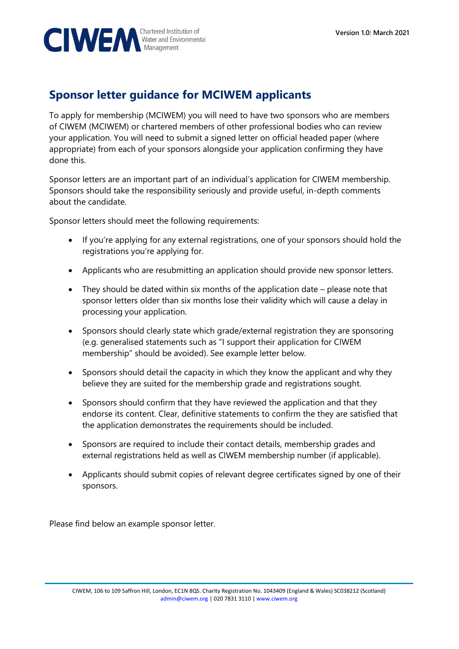

## **Sponsor letter guidance for MCIWEM applicants**

To apply for membership (MCIWEM) you will need to have two sponsors who are members of CIWEM (MCIWEM) or chartered members of other professional bodies who can review your application. You will need to submit a signed letter on official headed paper (where appropriate) from each of your sponsors alongside your application confirming they have done this.

Sponsor letters are an important part of an individual's application for CIWEM membership. Sponsors should take the responsibility seriously and provide useful, in-depth comments about the candidate.

Sponsor letters should meet the following requirements:

- If you're applying for any external registrations, one of your sponsors should hold the registrations you're applying for.
- Applicants who are resubmitting an application should provide new sponsor letters.
- They should be dated within six months of the application date please note that sponsor letters older than six months lose their validity which will cause a delay in processing your application.
- Sponsors should clearly state which grade/external registration they are sponsoring (e.g. generalised statements such as "I support their application for CIWEM membership" should be avoided). See example letter below.
- Sponsors should detail the capacity in which they know the applicant and why they believe they are suited for the membership grade and registrations sought.
- Sponsors should confirm that they have reviewed the application and that they endorse its content. Clear, definitive statements to confirm the they are satisfied that the application demonstrates the requirements should be included.
- Sponsors are required to include their contact details, membership grades and external registrations held as well as CIWEM membership number (if applicable).
- Applicants should submit copies of relevant degree certificates signed by one of their sponsors.

Please find below an example sponsor letter.